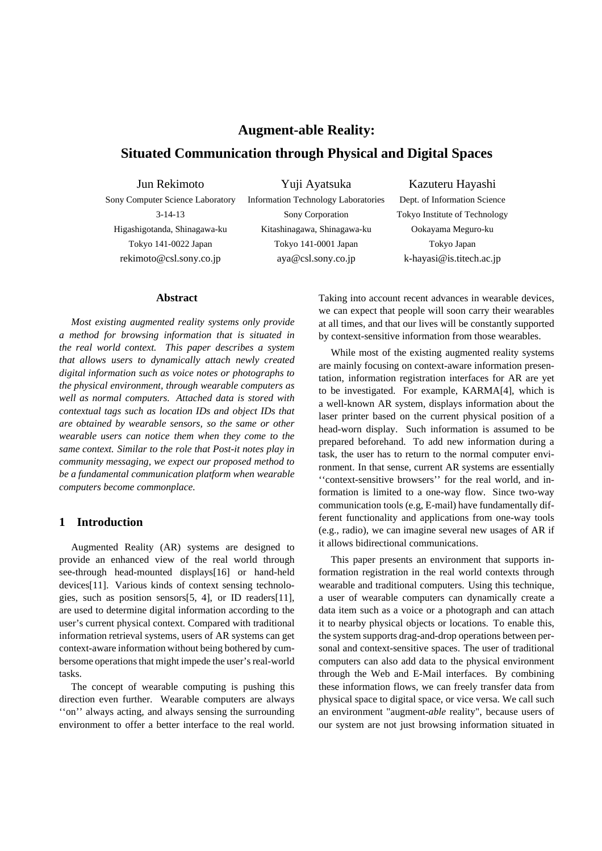# **Augment-able Reality: Situated Communication through Physical and Digital Spaces**

Sony Computer Science Laboratory Information Technology Laboratories Dept. of Information Science

Jun Rekimoto Yuji Ayatsuka Kazuteru Hayashi 3-14-13 Sony Corporation Tokyo Institute of Technology Higashigotanda, Shinagawa-ku Kitashinagawa, Shinagawa-ku Ookayama Meguro-ku Tokyo 141-0022 Japan Tokyo 141-0001 Japan Tokyo Japan rekimoto@csl.sony.co.jp aya@csl.sony.co.jp k-hayasi@is.titech.ac.jp

#### **Abstract**

*Most existing augmented reality systems only provide a method for browsing information that is situated in the real world context. This paper describes a system that allows users to dynamically attach newly created digital information such as voice notes or photographs to the physical environment, through wearable computers as well as normal computers. Attached data is stored with contextual tags such as location IDs and object IDs that are obtained by wearable sensors, so the same or other wearable users can notice them when they come to the same context. Similar to the role that Post-it notes play in community messaging, we expect our proposed method to be a fundamental communication platform when wearable computers become commonplace.*

#### **1 Introduction**

Augmented Reality (AR) systems are designed to provide an enhanced view of the real world through see-through head-mounted displays[16] or hand-held devices[11]. Various kinds of context sensing technologies, such as position sensors[5, 4], or ID readers[11], are used to determine digital information according to the user's current physical context. Compared with traditional information retrieval systems, users of AR systems can get context-aware information without being bothered by cumbersome operations that might impede the user's real-world tasks.

The concept of wearable computing is pushing this direction even further. Wearable computers are always ''on'' always acting, and always sensing the surrounding environment to offer a better interface to the real world.

Taking into account recent advances in wearable devices, we can expect that people will soon carry their wearables at all times, and that our lives will be constantly supported by context-sensitive information from those wearables.

While most of the existing augmented reality systems are mainly focusing on context-aware information presentation, information registration interfaces for AR are yet to be investigated. For example, KARMA[4], which is a well-known AR system, displays information about the laser printer based on the current physical position of a head-worn display. Such information is assumed to be prepared beforehand. To add new information during a task, the user has to return to the normal computer environment. In that sense, current AR systems are essentially ''context-sensitive browsers'' for the real world, and information is limited to a one-way flow. Since two-way communication tools (e.g, E-mail) have fundamentally different functionality and applications from one-way tools (e.g., radio), we can imagine several new usages of AR if it allows bidirectional communications.

This paper presents an environment that supports information registration in the real world contexts through wearable and traditional computers. Using this technique, a user of wearable computers can dynamically create a data item such as a voice or a photograph and can attach it to nearby physical objects or locations. To enable this, the system supports drag-and-drop operations between personal and context-sensitive spaces. The user of traditional computers can also add data to the physical environment through the Web and E-Mail interfaces. By combining these information flows, we can freely transfer data from physical space to digital space, or vice versa. We call such an environment "augment-*able* reality", because users of our system are not just browsing information situated in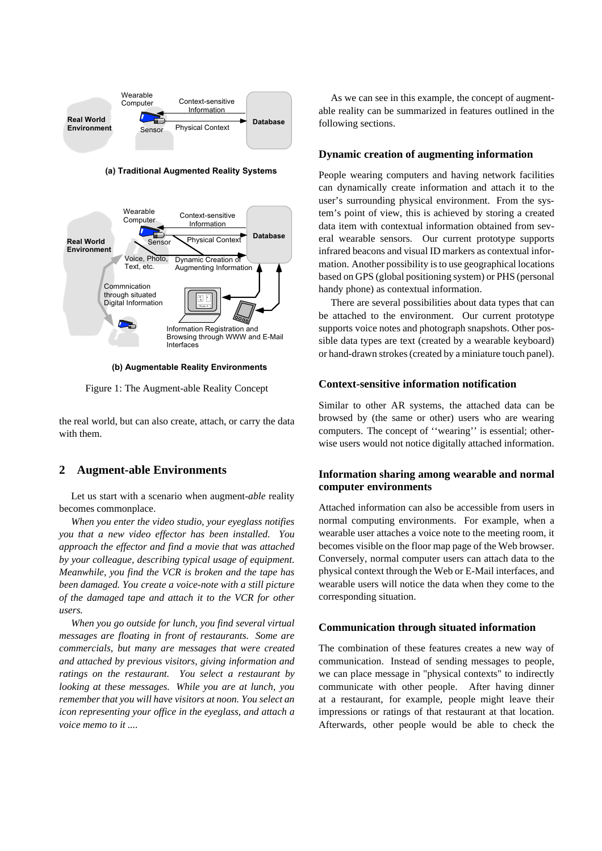

**(a) Traditional Augmented Reality Systems**



**(b) Augmentable Reality Environments**

Figure 1: The Augment-able Reality Concept

the real world, but can also create, attach, or carry the data with them.

### **2 Augment-able Environments**

Let us start with a scenario when augment-*able* reality becomes commonplace.

*When you enter the video studio, your eyeglass notifies you that a new video effector has been installed. You approach the effector and find a movie that was attached by your colleague, describing typical usage of equipment. Meanwhile, you find the VCR is broken and the tape has been damaged. You create a voice-note with a still picture of the damaged tape and attach it to the VCR for other users.*

*When you go outside for lunch, you find several virtual messages are floating in front of restaurants. Some are commercials, but many are messages that were created and attached by previous visitors, giving information and ratings on the restaurant. You select a restaurant by looking at these messages. While you are at lunch, you remember that you will have visitors at noon. You select an icon representing your office in the eyeglass, and attach a voice memo to it ....*

As we can see in this example, the concept of augmentable reality can be summarized in features outlined in the following sections.

#### **Dynamic creation of augmenting information**

People wearing computers and having network facilities can dynamically create information and attach it to the user's surrounding physical environment. From the system's point of view, this is achieved by storing a created data item with contextual information obtained from several wearable sensors. Our current prototype supports infrared beacons and visual ID markers as contextual information. Another possibility is to use geographical locations based on GPS (global positioning system) or PHS (personal handy phone) as contextual information.

There are several possibilities about data types that can be attached to the environment. Our current prototype supports voice notes and photograph snapshots. Other possible data types are text (created by a wearable keyboard) or hand-drawn strokes (created by a miniature touch panel).

#### **Context-sensitive information notification**

Similar to other AR systems, the attached data can be browsed by (the same or other) users who are wearing computers. The concept of ''wearing'' is essential; otherwise users would not notice digitally attached information.

# **Information sharing among wearable and normal computer environments**

Attached information can also be accessible from users in normal computing environments. For example, when a wearable user attaches a voice note to the meeting room, it becomes visible on the floor map page of the Web browser. Conversely, normal computer users can attach data to the physical context through the Web or E-Mail interfaces, and wearable users will notice the data when they come to the corresponding situation.

## **Communication through situated information**

The combination of these features creates a new way of communication. Instead of sending messages to people, we can place message in "physical contexts" to indirectly communicate with other people. After having dinner at a restaurant, for example, people might leave their impressions or ratings of that restaurant at that location. Afterwards, other people would be able to check the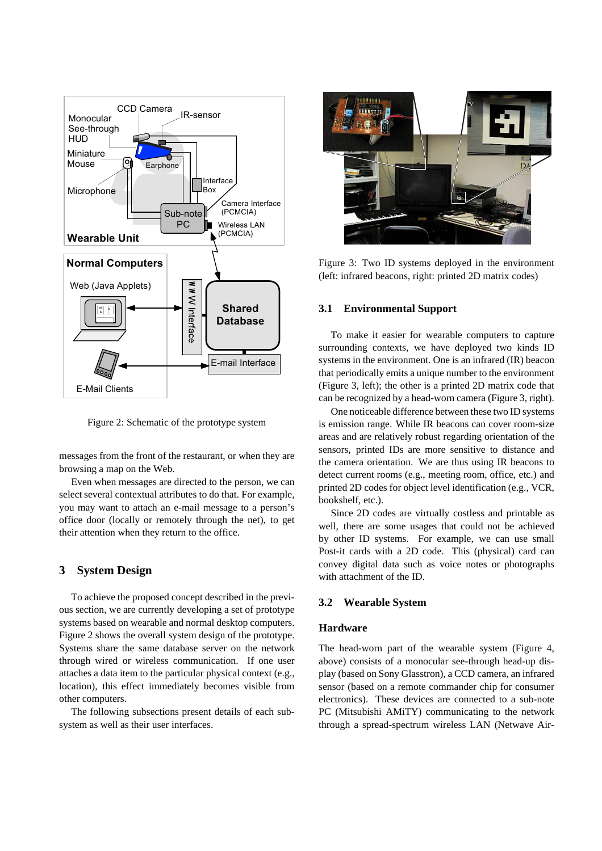

Figure 2: Schematic of the prototype system

messages from the front of the restaurant, or when they are browsing a map on the Web.

Even when messages are directed to the person, we can select several contextual attributes to do that. For example, you may want to attach an e-mail message to a person's office door (locally or remotely through the net), to get their attention when they return to the office.

# **3 System Design**

To achieve the proposed concept described in the previous section, we are currently developing a set of prototype systems based on wearable and normal desktop computers. Figure 2 shows the overall system design of the prototype. Systems share the same database server on the network through wired or wireless communication. If one user attaches a data item to the particular physical context (e.g., location), this effect immediately becomes visible from other computers.

The following subsections present details of each subsystem as well as their user interfaces.



Figure 3: Two ID systems deployed in the environment (left: infrared beacons, right: printed 2D matrix codes)

#### **3.1 Environmental Support**

To make it easier for wearable computers to capture surrounding contexts, we have deployed two kinds ID systems in the environment. One is an infrared (IR) beacon that periodically emits a unique number to the environment (Figure 3, left); the other is a printed 2D matrix code that can be recognized by a head-worn camera (Figure 3, right).

One noticeable difference between these two ID systems is emission range. While IR beacons can cover room-size areas and are relatively robust regarding orientation of the sensors, printed IDs are more sensitive to distance and the camera orientation. We are thus using IR beacons to detect current rooms (e.g., meeting room, office, etc.) and printed 2D codes for object level identification (e.g., VCR, bookshelf, etc.).

Since 2D codes are virtually costless and printable as well, there are some usages that could not be achieved by other ID systems. For example, we can use small Post-it cards with a 2D code. This (physical) card can convey digital data such as voice notes or photographs with attachment of the ID.

## **3.2 Wearable System**

#### **Hardware**

The head-worn part of the wearable system (Figure 4, above) consists of a monocular see-through head-up display (based on Sony Glasstron), a CCD camera, an infrared sensor (based on a remote commander chip for consumer electronics). These devices are connected to a sub-note PC (Mitsubishi AMiTY) communicating to the network through a spread-spectrum wireless LAN (Netwave Air-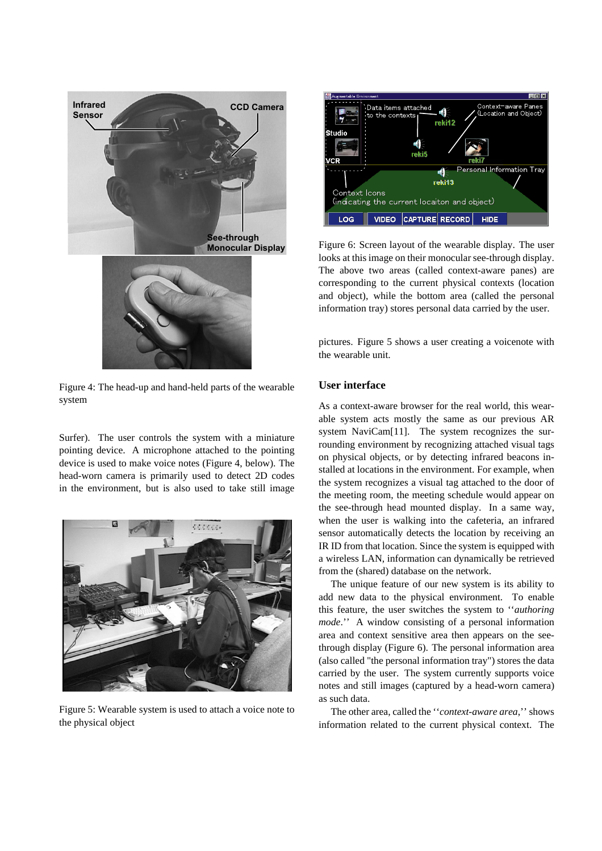

Figure 4: The head-up and hand-held parts of the wearable system

Surfer). The user controls the system with a miniature pointing device. A microphone attached to the pointing device is used to make voice notes (Figure 4, below). The head-worn camera is primarily used to detect 2D codes in the environment, but is also used to take still image



Figure 5: Wearable system is used to attach a voice note to the physical object



Figure 6: Screen layout of the wearable display. The user looks at this image on their monocular see-through display. The above two areas (called context-aware panes) are corresponding to the current physical contexts (location and object), while the bottom area (called the personal information tray) stores personal data carried by the user.

pictures. Figure 5 shows a user creating a voicenote with the wearable unit.

#### **User interface**

As a context-aware browser for the real world, this wearable system acts mostly the same as our previous AR system NaviCam[11]. The system recognizes the surrounding environment by recognizing attached visual tags on physical objects, or by detecting infrared beacons installed at locations in the environment. For example, when the system recognizes a visual tag attached to the door of the meeting room, the meeting schedule would appear on the see-through head mounted display. In a same way, when the user is walking into the cafeteria, an infrared sensor automatically detects the location by receiving an IR ID from that location. Since the system is equipped with a wireless LAN, information can dynamically be retrieved from the (shared) database on the network.

The unique feature of our new system is its ability to add new data to the physical environment. To enable this feature, the user switches the system to ''*authoring mode*.'' A window consisting of a personal information area and context sensitive area then appears on the seethrough display (Figure 6). The personal information area (also called "the personal information tray") stores the data carried by the user. The system currently supports voice notes and still images (captured by a head-worn camera) as such data.

The other area, called the ''*context-aware area*,'' shows information related to the current physical context. The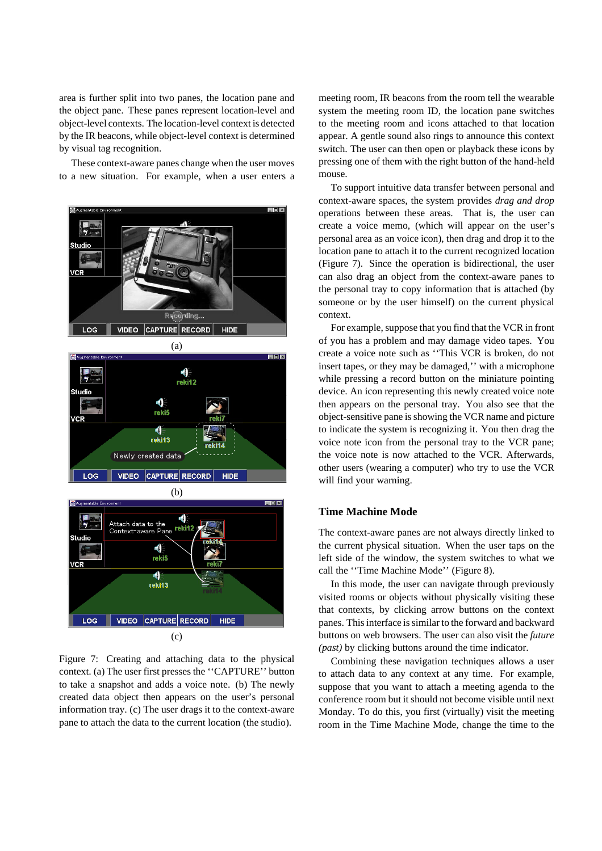area is further split into two panes, the location pane and the object pane. These panes represent location-level and object-level contexts. The location-level context is detected by the IR beacons, while object-level context is determined by visual tag recognition.

These context-aware panes change when the user moves to a new situation. For example, when a user enters a



(c)

Figure 7: Creating and attaching data to the physical context. (a) The user first presses the ''CAPTURE'' button to take a snapshot and adds a voice note. (b) The newly created data object then appears on the user's personal information tray. (c) The user drags it to the context-aware pane to attach the data to the current location (the studio).

meeting room, IR beacons from the room tell the wearable system the meeting room ID, the location pane switches to the meeting room and icons attached to that location appear. A gentle sound also rings to announce this context switch. The user can then open or playback these icons by pressing one of them with the right button of the hand-held mouse.

To support intuitive data transfer between personal and context-aware spaces, the system provides *drag and drop* operations between these areas. That is, the user can create a voice memo, (which will appear on the user's personal area as an voice icon), then drag and drop it to the location pane to attach it to the current recognized location (Figure 7). Since the operation is bidirectional, the user can also drag an object from the context-aware panes to the personal tray to copy information that is attached (by someone or by the user himself) on the current physical context.

For example, suppose that you find that the VCR in front of you has a problem and may damage video tapes. You create a voice note such as ''This VCR is broken, do not insert tapes, or they may be damaged,'' with a microphone while pressing a record button on the miniature pointing device. An icon representing this newly created voice note then appears on the personal tray. You also see that the object-sensitive pane is showing the VCR name and picture to indicate the system is recognizing it. You then drag the voice note icon from the personal tray to the VCR pane; the voice note is now attached to the VCR. Afterwards, other users (wearing a computer) who try to use the VCR will find your warning.

#### **Time Machine Mode**

The context-aware panes are not always directly linked to the current physical situation. When the user taps on the left side of the window, the system switches to what we call the ''Time Machine Mode'' (Figure 8).

In this mode, the user can navigate through previously visited rooms or objects without physically visiting these that contexts, by clicking arrow buttons on the context panes. This interface is similar to the forward and backward buttons on web browsers. The user can also visit the *future (past)* by clicking buttons around the time indicator.

Combining these navigation techniques allows a user to attach data to any context at any time. For example, suppose that you want to attach a meeting agenda to the conference room but it should not become visible until next Monday. To do this, you first (virtually) visit the meeting room in the Time Machine Mode, change the time to the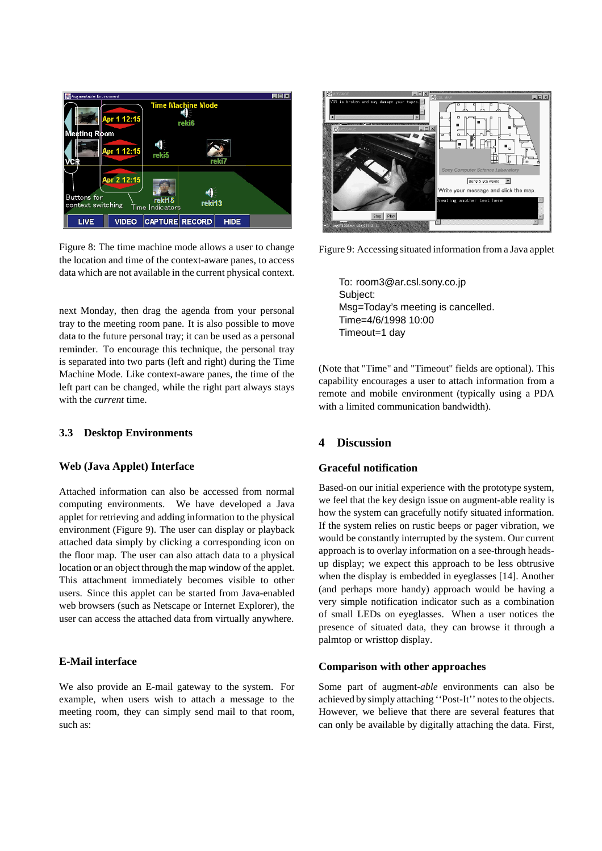| Augmentable Environment                         |                                   |        |             | $ \Box$ $\times$ |
|-------------------------------------------------|-----------------------------------|--------|-------------|------------------|
| Apr 1 12:15<br><b>Meeting Room</b>              | <b>Time Machine Mode</b><br>reki6 |        |             |                  |
| Apr 1 12:15                                     | reki5                             |        | reki7       |                  |
| Apr 2 12:15<br>Buttons for<br>context switching | reki15<br>Time Indicators         | reki13 |             |                  |
| <b>VIDEO</b><br><b>LIVE</b>                     | <b>CAPTURE RECORD</b>             |        | <b>HIDE</b> |                  |

Figure 8: The time machine mode allows a user to change the location and time of the context-aware panes, to access data which are not available in the current physical context.

next Monday, then drag the agenda from your personal tray to the meeting room pane. It is also possible to move data to the future personal tray; it can be used as a personal reminder. To encourage this technique, the personal tray is separated into two parts (left and right) during the Time Machine Mode. Like context-aware panes, the time of the left part can be changed, while the right part always stays with the *current* time.

## **3.3 Desktop Environments**

## **Web (Java Applet) Interface**

Attached information can also be accessed from normal computing environments. We have developed a Java applet for retrieving and adding information to the physical environment (Figure 9). The user can display or playback attached data simply by clicking a corresponding icon on the floor map. The user can also attach data to a physical location or an object through the map window of the applet. This attachment immediately becomes visible to other users. Since this applet can be started from Java-enabled web browsers (such as Netscape or Internet Explorer), the user can access the attached data from virtually anywhere.

# **E-Mail interface**

We also provide an E-mail gateway to the system. For example, when users wish to attach a message to the meeting room, they can simply send mail to that room, such as:



Figure 9: Accessing situated information from a Java applet

To: room3@ar.csl.sony.co.jp Subject: Msg=Today's meeting is cancelled. Time=4/6/1998 10:00 Timeout=1 day

(Note that "Time" and "Timeout" fields are optional). This capability encourages a user to attach information from a remote and mobile environment (typically using a PDA with a limited communication bandwidth).

# **4 Discussion**

# **Graceful notification**

Based-on our initial experience with the prototype system, we feel that the key design issue on augment-able reality is how the system can gracefully notify situated information. If the system relies on rustic beeps or pager vibration, we would be constantly interrupted by the system. Our current approach is to overlay information on a see-through headsup display; we expect this approach to be less obtrusive when the display is embedded in eyeglasses [14]. Another (and perhaps more handy) approach would be having a very simple notification indicator such as a combination of small LEDs on eyeglasses. When a user notices the presence of situated data, they can browse it through a palmtop or wristtop display.

## **Comparison with other approaches**

Some part of augment-*able* environments can also be achieved by simply attaching ''Post-It'' notes to the objects. However, we believe that there are several features that can only be available by digitally attaching the data. First,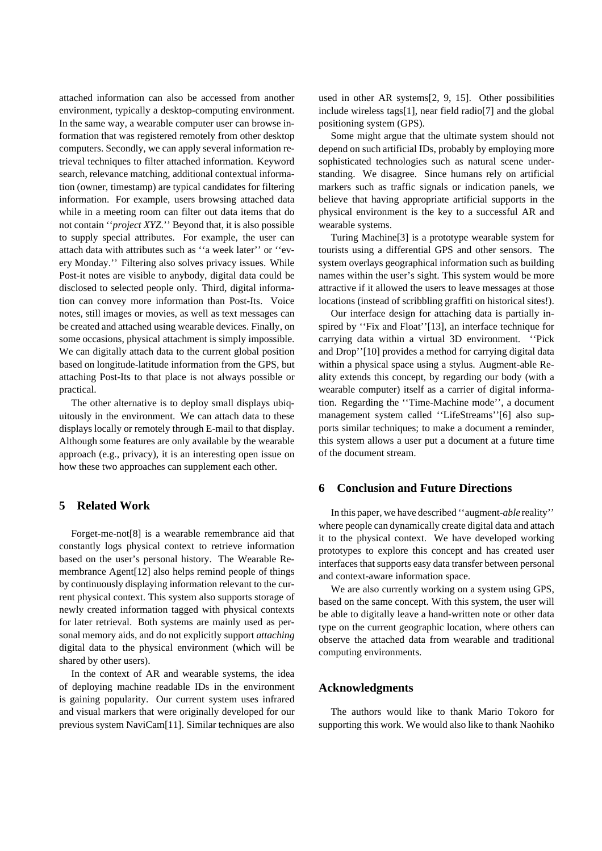attached information can also be accessed from another environment, typically a desktop-computing environment. In the same way, a wearable computer user can browse information that was registered remotely from other desktop computers. Secondly, we can apply several information retrieval techniques to filter attached information. Keyword search, relevance matching, additional contextual information (owner, timestamp) are typical candidates for filtering information. For example, users browsing attached data while in a meeting room can filter out data items that do not contain ''*project XYZ*.'' Beyond that, it is also possible to supply special attributes. For example, the user can attach data with attributes such as ''a week later'' or ''every Monday.'' Filtering also solves privacy issues. While Post-it notes are visible to anybody, digital data could be disclosed to selected people only. Third, digital information can convey more information than Post-Its. Voice notes, still images or movies, as well as text messages can be created and attached using wearable devices. Finally, on some occasions, physical attachment is simply impossible. We can digitally attach data to the current global position based on longitude-latitude information from the GPS, but attaching Post-Its to that place is not always possible or practical.

The other alternative is to deploy small displays ubiquitously in the environment. We can attach data to these displays locally or remotely through E-mail to that display. Although some features are only available by the wearable approach (e.g., privacy), it is an interesting open issue on how these two approaches can supplement each other.

# **5 Related Work**

Forget-me-not[8] is a wearable remembrance aid that constantly logs physical context to retrieve information based on the user's personal history. The Wearable Remembrance Agent[12] also helps remind people of things by continuously displaying information relevant to the current physical context. This system also supports storage of newly created information tagged with physical contexts for later retrieval. Both systems are mainly used as personal memory aids, and do not explicitly support *attaching* digital data to the physical environment (which will be shared by other users).

In the context of AR and wearable systems, the idea of deploying machine readable IDs in the environment is gaining popularity. Our current system uses infrared and visual markers that were originally developed for our previous system NaviCam[11]. Similar techniques are also used in other AR systems[2, 9, 15]. Other possibilities include wireless tags[1], near field radio[7] and the global positioning system (GPS).

Some might argue that the ultimate system should not depend on such artificial IDs, probably by employing more sophisticated technologies such as natural scene understanding. We disagree. Since humans rely on artificial markers such as traffic signals or indication panels, we believe that having appropriate artificial supports in the physical environment is the key to a successful AR and wearable systems.

Turing Machine[3] is a prototype wearable system for tourists using a differential GPS and other sensors. The system overlays geographical information such as building names within the user's sight. This system would be more attractive if it allowed the users to leave messages at those locations (instead of scribbling graffiti on historical sites!).

Our interface design for attaching data is partially inspired by "Fix and Float"[13], an interface technique for carrying data within a virtual 3D environment. ''Pick and Drop''[10] provides a method for carrying digital data within a physical space using a stylus. Augment-able Reality extends this concept, by regarding our body (with a wearable computer) itself as a carrier of digital information. Regarding the ''Time-Machine mode'', a document management system called ''LifeStreams''[6] also supports similar techniques; to make a document a reminder, this system allows a user put a document at a future time of the document stream.

# **6 Conclusion and Future Directions**

In this paper, we have described ''augment-*able* reality'' where people can dynamically create digital data and attach it to the physical context. We have developed working prototypes to explore this concept and has created user interfaces that supports easy data transfer between personal and context-aware information space.

We are also currently working on a system using GPS, based on the same concept. With this system, the user will be able to digitally leave a hand-written note or other data type on the current geographic location, where others can observe the attached data from wearable and traditional computing environments.

## **Acknowledgments**

The authors would like to thank Mario Tokoro for supporting this work. We would also like to thank Naohiko